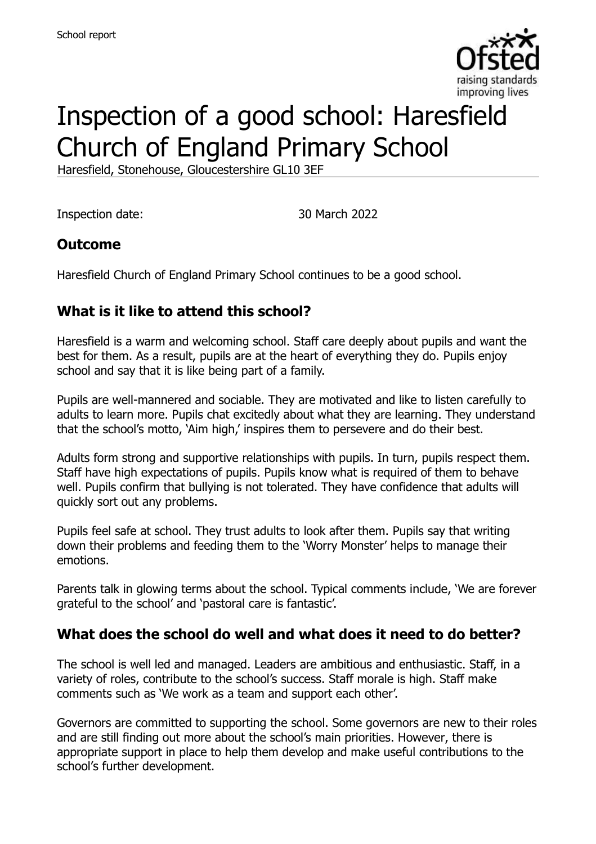

# Inspection of a good school: Haresfield Church of England Primary School

Haresfield, Stonehouse, Gloucestershire GL10 3EF

Inspection date: 30 March 2022

### **Outcome**

Haresfield Church of England Primary School continues to be a good school.

# **What is it like to attend this school?**

Haresfield is a warm and welcoming school. Staff care deeply about pupils and want the best for them. As a result, pupils are at the heart of everything they do. Pupils enjoy school and say that it is like being part of a family.

Pupils are well-mannered and sociable. They are motivated and like to listen carefully to adults to learn more. Pupils chat excitedly about what they are learning. They understand that the school's motto, 'Aim high,' inspires them to persevere and do their best.

Adults form strong and supportive relationships with pupils. In turn, pupils respect them. Staff have high expectations of pupils. Pupils know what is required of them to behave well. Pupils confirm that bullying is not tolerated. They have confidence that adults will quickly sort out any problems.

Pupils feel safe at school. They trust adults to look after them. Pupils say that writing down their problems and feeding them to the 'Worry Monster' helps to manage their emotions.

Parents talk in glowing terms about the school. Typical comments include, 'We are forever grateful to the school' and 'pastoral care is fantastic'.

### **What does the school do well and what does it need to do better?**

The school is well led and managed. Leaders are ambitious and enthusiastic. Staff, in a variety of roles, contribute to the school's success. Staff morale is high. Staff make comments such as 'We work as a team and support each other'.

Governors are committed to supporting the school. Some governors are new to their roles and are still finding out more about the school's main priorities. However, there is appropriate support in place to help them develop and make useful contributions to the school's further development.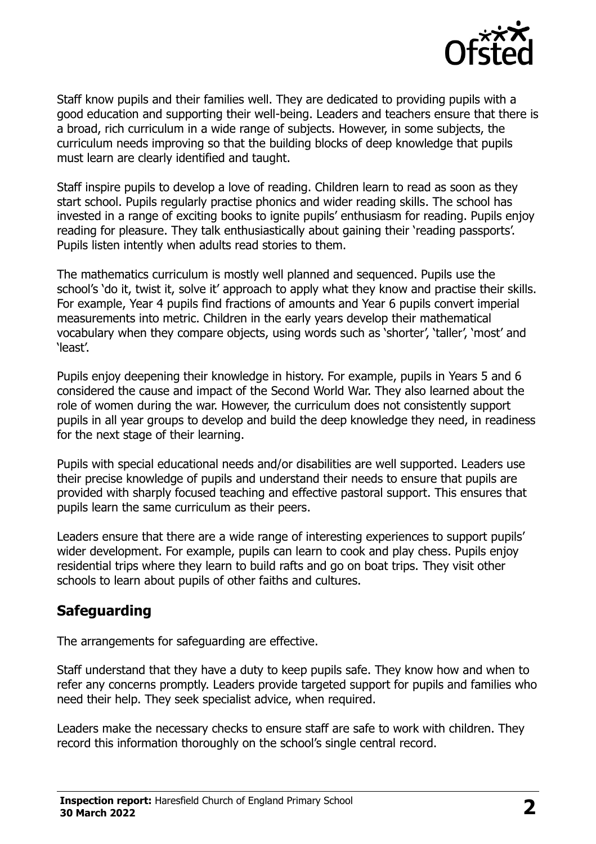

Staff know pupils and their families well. They are dedicated to providing pupils with a good education and supporting their well-being. Leaders and teachers ensure that there is a broad, rich curriculum in a wide range of subjects. However, in some subjects, the curriculum needs improving so that the building blocks of deep knowledge that pupils must learn are clearly identified and taught.

Staff inspire pupils to develop a love of reading. Children learn to read as soon as they start school. Pupils regularly practise phonics and wider reading skills. The school has invested in a range of exciting books to ignite pupils' enthusiasm for reading. Pupils enjoy reading for pleasure. They talk enthusiastically about gaining their 'reading passports'. Pupils listen intently when adults read stories to them.

The mathematics curriculum is mostly well planned and sequenced. Pupils use the school's 'do it, twist it, solve it' approach to apply what they know and practise their skills. For example, Year 4 pupils find fractions of amounts and Year 6 pupils convert imperial measurements into metric. Children in the early years develop their mathematical vocabulary when they compare objects, using words such as 'shorter', 'taller', 'most' and 'least'.

Pupils enjoy deepening their knowledge in history. For example, pupils in Years 5 and 6 considered the cause and impact of the Second World War. They also learned about the role of women during the war. However, the curriculum does not consistently support pupils in all year groups to develop and build the deep knowledge they need, in readiness for the next stage of their learning.

Pupils with special educational needs and/or disabilities are well supported. Leaders use their precise knowledge of pupils and understand their needs to ensure that pupils are provided with sharply focused teaching and effective pastoral support. This ensures that pupils learn the same curriculum as their peers.

Leaders ensure that there are a wide range of interesting experiences to support pupils' wider development. For example, pupils can learn to cook and play chess. Pupils enjoy residential trips where they learn to build rafts and go on boat trips. They visit other schools to learn about pupils of other faiths and cultures.

### **Safeguarding**

The arrangements for safeguarding are effective.

Staff understand that they have a duty to keep pupils safe. They know how and when to refer any concerns promptly. Leaders provide targeted support for pupils and families who need their help. They seek specialist advice, when required.

Leaders make the necessary checks to ensure staff are safe to work with children. They record this information thoroughly on the school's single central record.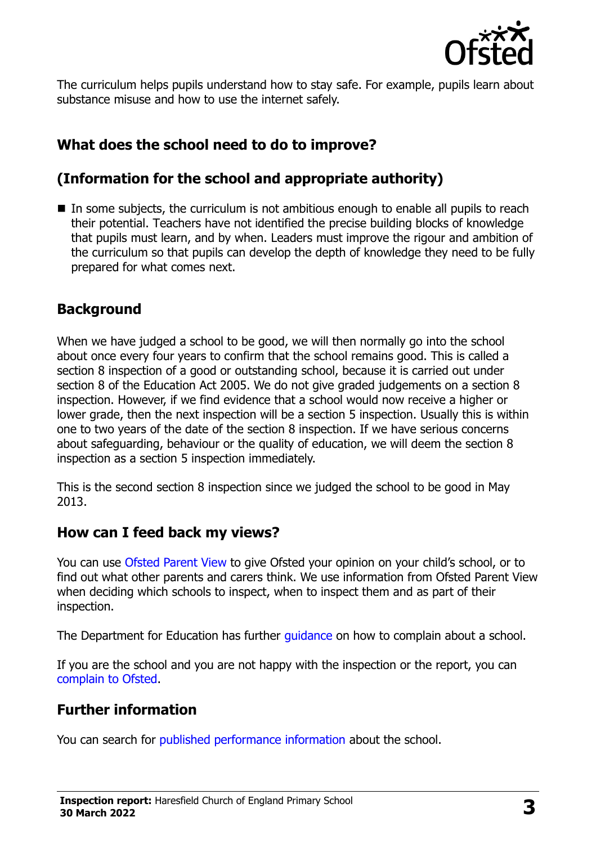

The curriculum helps pupils understand how to stay safe. For example, pupils learn about substance misuse and how to use the internet safely.

# **What does the school need to do to improve?**

# **(Information for the school and appropriate authority)**

In some subjects, the curriculum is not ambitious enough to enable all pupils to reach their potential. Teachers have not identified the precise building blocks of knowledge that pupils must learn, and by when. Leaders must improve the rigour and ambition of the curriculum so that pupils can develop the depth of knowledge they need to be fully prepared for what comes next.

# **Background**

When we have judged a school to be good, we will then normally go into the school about once every four years to confirm that the school remains good. This is called a section 8 inspection of a good or outstanding school, because it is carried out under section 8 of the Education Act 2005. We do not give graded judgements on a section 8 inspection. However, if we find evidence that a school would now receive a higher or lower grade, then the next inspection will be a section 5 inspection. Usually this is within one to two years of the date of the section 8 inspection. If we have serious concerns about safeguarding, behaviour or the quality of education, we will deem the section 8 inspection as a section 5 inspection immediately.

This is the second section 8 inspection since we judged the school to be good in May 2013.

### **How can I feed back my views?**

You can use [Ofsted Parent View](https://parentview.ofsted.gov.uk/) to give Ofsted your opinion on your child's school, or to find out what other parents and carers think. We use information from Ofsted Parent View when deciding which schools to inspect, when to inspect them and as part of their inspection.

The Department for Education has further [guidance](http://www.gov.uk/complain-about-school) on how to complain about a school.

If you are the school and you are not happy with the inspection or the report, you can [complain to Ofsted.](https://www.gov.uk/complain-ofsted-report)

# **Further information**

You can search for [published performance information](http://www.compare-school-performance.service.gov.uk/) about the school.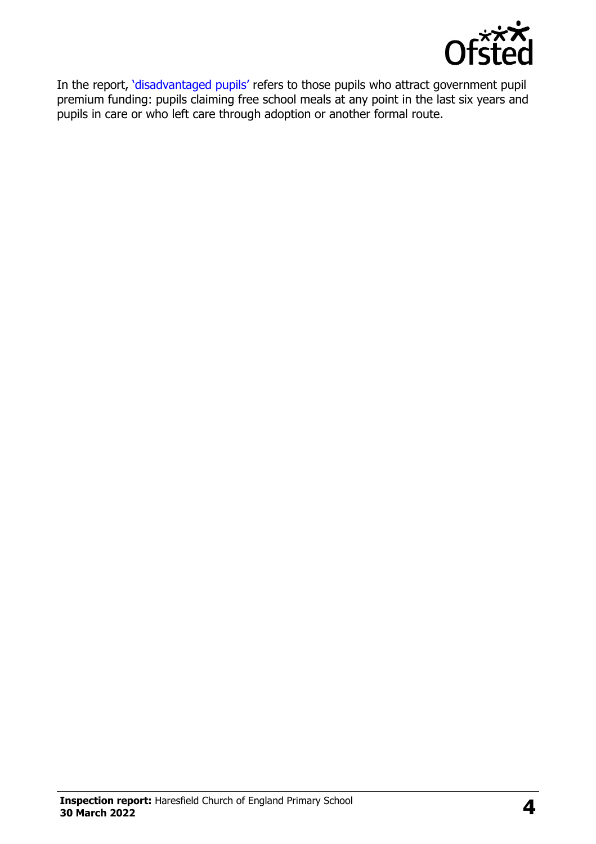

In the report, '[disadvantaged pupils](http://www.gov.uk/guidance/pupil-premium-information-for-schools-and-alternative-provision-settings)' refers to those pupils who attract government pupil premium funding: pupils claiming free school meals at any point in the last six years and pupils in care or who left care through adoption or another formal route.

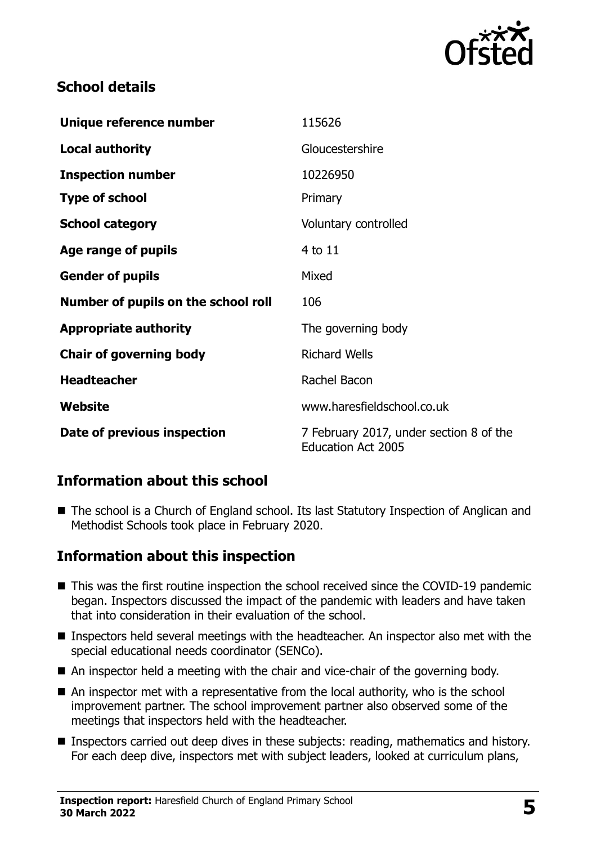

# **School details**

| Unique reference number             | 115626                                                               |
|-------------------------------------|----------------------------------------------------------------------|
| <b>Local authority</b>              | Gloucestershire                                                      |
| <b>Inspection number</b>            | 10226950                                                             |
| <b>Type of school</b>               | Primary                                                              |
| <b>School category</b>              | Voluntary controlled                                                 |
| Age range of pupils                 | 4 to 11                                                              |
| <b>Gender of pupils</b>             | Mixed                                                                |
| Number of pupils on the school roll | 106                                                                  |
| <b>Appropriate authority</b>        | The governing body                                                   |
| <b>Chair of governing body</b>      | <b>Richard Wells</b>                                                 |
| <b>Headteacher</b>                  | Rachel Bacon                                                         |
| Website                             | www.haresfieldschool.co.uk                                           |
| Date of previous inspection         | 7 February 2017, under section 8 of the<br><b>Education Act 2005</b> |

### **Information about this school**

■ The school is a Church of England school. Its last Statutory Inspection of Anglican and Methodist Schools took place in February 2020.

### **Information about this inspection**

- This was the first routine inspection the school received since the COVID-19 pandemic began. Inspectors discussed the impact of the pandemic with leaders and have taken that into consideration in their evaluation of the school.
- Inspectors held several meetings with the headteacher. An inspector also met with the special educational needs coordinator (SENCo).
- An inspector held a meeting with the chair and vice-chair of the governing body.
- An inspector met with a representative from the local authority, who is the school improvement partner. The school improvement partner also observed some of the meetings that inspectors held with the headteacher.
- **Inspectors carried out deep dives in these subjects: reading, mathematics and history.** For each deep dive, inspectors met with subject leaders, looked at curriculum plans,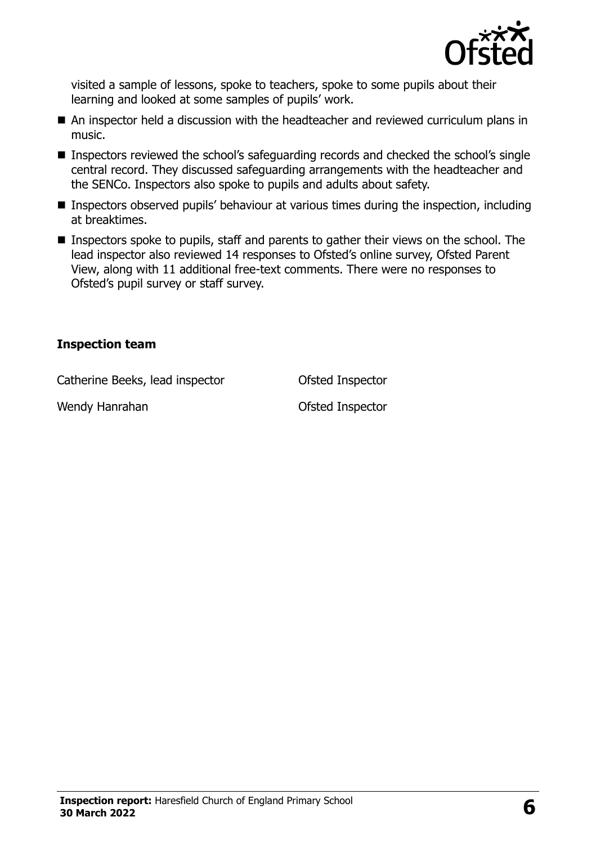

visited a sample of lessons, spoke to teachers, spoke to some pupils about their learning and looked at some samples of pupils' work.

- An inspector held a discussion with the headteacher and reviewed curriculum plans in music.
- Inspectors reviewed the school's safeguarding records and checked the school's single central record. They discussed safeguarding arrangements with the headteacher and the SENCo. Inspectors also spoke to pupils and adults about safety.
- **Inspectors observed pupils' behaviour at various times during the inspection, including** at breaktimes.
- **Inspectors spoke to pupils, staff and parents to gather their views on the school. The** lead inspector also reviewed 14 responses to Ofsted's online survey, Ofsted Parent View, along with 11 additional free-text comments. There were no responses to Ofsted's pupil survey or staff survey.

#### **Inspection team**

Catherine Beeks, lead inspector **Catherine Beeks**, lead inspector

Wendy Hanrahan **Ofsted Inspector**